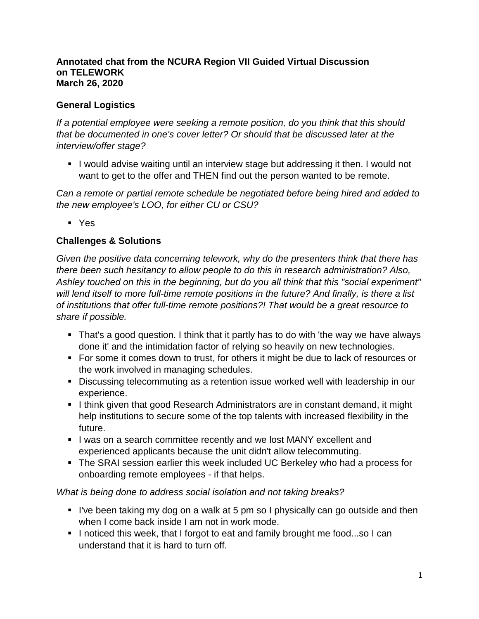#### **Annotated chat from the NCURA Region VII Guided Virtual Discussion on TELEWORK March 26, 2020**

### **General Logistics**

*If a potential employee were seeking a remote position, do you think that this should that be documented in one's cover letter? Or should that be discussed later at the interview/offer stage?*

I would advise waiting until an interview stage but addressing it then. I would not want to get to the offer and THEN find out the person wanted to be remote.

*Can a remote or partial remote schedule be negotiated before being hired and added to the new employee's LOO, for either CU or CSU?*

Yes

#### **Challenges & Solutions**

*Given the positive data concerning telework, why do the presenters think that there has there been such hesitancy to allow people to do this in research administration? Also, Ashley touched on this in the beginning, but do you all think that this "social experiment" will lend itself to more full-time remote positions in the future? And finally, is there a list of institutions that offer full-time remote positions?! That would be a great resource to share if possible.* 

- That's a good question. I think that it partly has to do with 'the way we have always done it' and the intimidation factor of relying so heavily on new technologies.
- For some it comes down to trust, for others it might be due to lack of resources or the work involved in managing schedules.
- Discussing telecommuting as a retention issue worked well with leadership in our experience.
- I think given that good Research Administrators are in constant demand, it might help institutions to secure some of the top talents with increased flexibility in the future.
- I lwas on a search committee recently and we lost MANY excellent and experienced applicants because the unit didn't allow telecommuting.
- The SRAI session earlier this week included UC Berkeley who had a process for onboarding remote employees - if that helps.

#### *What is being done to address social isolation and not taking breaks?*

- If I've been taking my dog on a walk at 5 pm so I physically can go outside and then when I come back inside I am not in work mode.
- I noticed this week, that I forgot to eat and family brought me food...so I can understand that it is hard to turn off.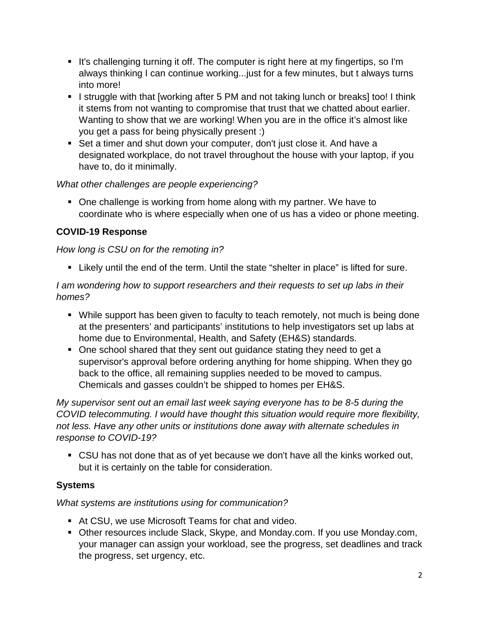- It's challenging turning it off. The computer is right here at my fingertips, so I'm always thinking I can continue working...just for a few minutes, but t always turns into more!
- I struggle with that [working after 5 PM and not taking lunch or breaks] too! I think it stems from not wanting to compromise that trust that we chatted about earlier. Wanting to show that we are working! When you are in the office it's almost like you get a pass for being physically present :)
- Set a timer and shut down your computer, don't just close it. And have a designated workplace, do not travel throughout the house with your laptop, if you have to, do it minimally.

### *What other challenges are people experiencing?*

• One challenge is working from home along with my partner. We have to coordinate who is where especially when one of us has a video or phone meeting.

# **COVID-19 Response**

### *How long is CSU on for the remoting in?*

Likely until the end of the term. Until the state "shelter in place" is lifted for sure.

### *I am wondering how to support researchers and their requests to set up labs in their homes?*

- While support has been given to faculty to teach remotely, not much is being done at the presenters' and participants' institutions to help investigators set up labs at home due to Environmental, Health, and Safety (EH&S) standards.
- One school shared that they sent out guidance stating they need to get a supervisor's approval before ordering anything for home shipping. When they go back to the office, all remaining supplies needed to be moved to campus. Chemicals and gasses couldn't be shipped to homes per EH&S.

*My supervisor sent out an email last week saying everyone has to be 8-5 during the COVID telecommuting. I would have thought this situation would require more flexibility, not less. Have any other units or institutions done away with alternate schedules in response to COVID-19?*

 CSU has not done that as of yet because we don't have all the kinks worked out, but it is certainly on the table for consideration.

# **Systems**

# *What systems are institutions using for communication?*

- At CSU, we use Microsoft Teams for chat and video.
- Other resources include Slack, Skype, and Monday.com. If you use Monday.com, your manager can assign your workload, see the progress, set deadlines and track the progress, set urgency, etc.